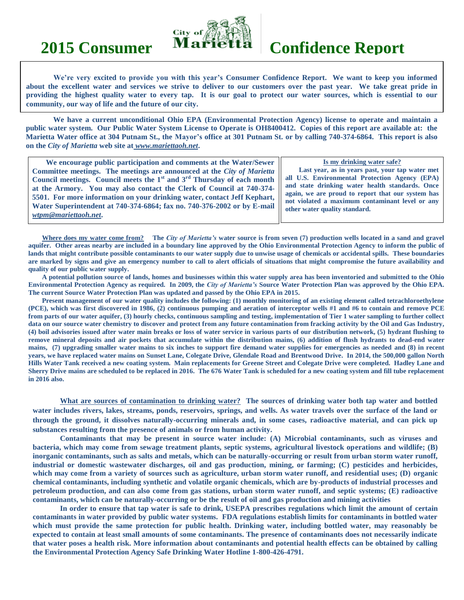

# **2015 Consumer Marietta Confidence Report**

**We're very excited to provide you with this year's Consumer Confidence Report. We want to keep you informed about the excellent water and services we strive to deliver to our customers over the past year. We take great pride in providing the highest quality water to every tap. It is our goal to protect our water sources, which is essential to our community, our way of life and the future of our city.**

**We have a current unconditional Ohio EPA (Environmental Protection Agency) license to operate and maintain a public water system. Our Public Water System License to Operate is OH8400412. Copies of this report are available at: the Marietta Water office at 304 Putnam St., the Mayor's office at 301 Putnam St. or by calling 740-374-6864. This report is also on the** *City of Marietta* **web site at** *www.mariettaoh.net***.**

| We encourage public participation and comments at the Water/Sewer                                                                                                                                                                                                                                                                                                                                           | Is my drinking water safe?                                                                                                                                                                                                                                                                    |
|-------------------------------------------------------------------------------------------------------------------------------------------------------------------------------------------------------------------------------------------------------------------------------------------------------------------------------------------------------------------------------------------------------------|-----------------------------------------------------------------------------------------------------------------------------------------------------------------------------------------------------------------------------------------------------------------------------------------------|
| Committee meetings. The meetings are announced at the City of Marietta<br>Council meetings. Council meets the $1st$ and $3rd$ Thursday of each month<br>at the Armory. You may also contact the Clerk of Council at 740-374-<br>5501. For more information on your drinking water, contact Jeff Kephart,<br>Water Superintendent at 740-374-6864; fax no. 740-376-2002 or by E-mail<br>wtpm@mariettaoh.net. | Last year, as in years past, your tap water met<br>all U.S. Environmental Protection Agency (EPA)<br>and state drinking water health standards. Once<br>again, we are proud to report that our system has<br>not violated a maximum contaminant level or any<br>other water quality standard. |
|                                                                                                                                                                                                                                                                                                                                                                                                             |                                                                                                                                                                                                                                                                                               |

**Where does my water come from? The** *City of Marietta's* **water source is from seven (7) production wells located in a sand and gravel aquifer. Other areas nearby are included in a boundary line approved by the Ohio Environmental Protection Agency to inform the public of lands that might contribute possible contaminants to our water supply due to unwise usage of chemicals or accidental spills. These boundaries are marked by signs and give an emergency number to call to alert officials of situations that might compromise the future availability and quality of our public water supply.**

**A potential pollution source of lands, homes and businesses within this water supply area has been inventoried and submitted to the Ohio Environmental Protection Agency as required. In 2009, the** *City of Marietta's* **Source Water Protection Plan was approved by the Ohio EPA. The current Source Water Protection Plan was updated and passed by the Ohio EPA in 2015.**

**Present management of our water quality includes the following: (1) monthly monitoring of an existing element called tetrachloroethylene (PCE), which was first discovered in 1986, (2) continuous pumping and aeration of interceptor wells #1 and #6 to contain and remove PCE from parts of our water aquifer, (3) hourly checks, continuous sampling and testing, implementation of Tier 1 water sampling to further collect data on our source water chemistry to discover and protect from any future contamination from fracking activity by the Oil and Gas Industry, (4) boil advisories issued after water main breaks or loss of water service in various parts of our distribution network, (5) hydrant flushing to remove mineral deposits and air pockets that accumulate within the distribution mains, (6) addition of flush hydrants to dead-end water mains, (7) upgrading smaller water mains to six inches to support fire demand water supplies for emergencies as needed and (8) in recent years, we have replaced water mains on Sunset Lane, Colegate Drive, Glendale Road and Brentwood Drive. In 2014, the 500,000 gallon North Hills Water Tank received a new coating system. Main replacements for Greene Street and Colegate Drive were completed. Hadley Lane and Sherry Drive mains are scheduled to be replaced in 2016. The 676 Water Tank is scheduled for a new coating system and fill tube replacement in 2016 also.**

**What are sources of contamination to drinking water? The sources of drinking water both tap water and bottled water includes rivers, lakes, streams, ponds, reservoirs, springs, and wells. As water travels over the surface of the land or through the ground, it dissolves naturally-occurring minerals and, in some cases, radioactive material, and can pick up substances resulting from the presence of animals or from human activity.**

**Contaminants that may be present in source water include: (A) Microbial contaminants, such as viruses and bacteria, which may come from sewage treatment plants, septic systems, agricultural livestock operations and wildlife; (B) inorganic contaminants, such as salts and metals, which can be naturally-occurring or result from urban storm water runoff, industrial or domestic wastewater discharges, oil and gas production, mining, or farming; (C) pesticides and herbicides, which may come from a variety of sources such as agriculture, urban storm water runoff, and residential uses; (D) organic chemical contaminants, including synthetic and volatile organic chemicals, which are by-products of industrial processes and petroleum production, and can also come from gas stations, urban storm water runoff, and septic systems; (E) radioactive contaminants, which can be naturally-occurring or be the result of oil and gas production and mining activities**

**In order to ensure that tap water is safe to drink, USEPA prescribes regulations which limit the amount of certain contaminants in water provided by public water systems. FDA regulations establish limits for contaminants in bottled water which must provide the same protection for public health. Drinking water, including bottled water, may reasonably be expected to contain at least small amounts of some contaminants. The presence of contaminants does not necessarily indicate that water poses a health risk. More information about contaminants and potential health effects can be obtained by calling the Environmental Protection Agency Safe Drinking Water Hotline 1-800-426-4791.**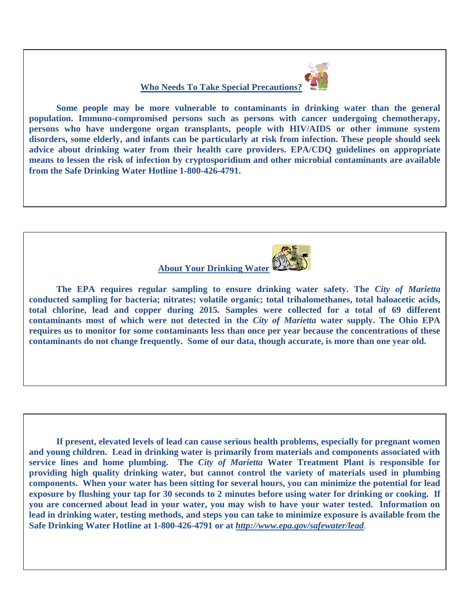**Who Needs To Take Special Precautions?**



**Some people may be more vulnerable to contaminants in drinking water than the general population. Immuno-compromised persons such as persons with cancer undergoing chemotherapy, persons who have undergone organ transplants, people with HIV/AIDS or other immune system disorders, some elderly, and infants can be particularly at risk from infection. These people should seek advice about drinking water from their health care providers. EPA/CDQ guidelines on appropriate means to lessen the risk of infection by cryptosporidium and other microbial contaminants are available from the Safe Drinking Water Hotline 1-800-426-4791.**

## **About Your Drinking Water**

**The EPA requires regular sampling to ensure drinking water safety. The** *City of Marietta*  **conducted sampling for bacteria; nitrates; volatile organic; total trihalomethanes, total haloacetic acids, total chlorine, lead and copper during 2015***.* **Samples were collected for a total of 69 different contaminants most of which were not detected in the** *City of Marietta* **water supply. The Ohio EPA requires us to monitor for some contaminants less than once per year because the concentrations of these contaminants do not change frequently. Some of our data, though accurate, is more than one year old.**

**If present, elevated levels of lead can cause serious health problems, especially for pregnant women and young children. Lead in drinking water is primarily from materials and components associated with service lines and home plumbing. The** *City of Marietta* **Water Treatment Plant is responsible for providing high quality drinking water, but cannot control the variety of materials used in plumbing components. When your water has been sitting for several hours, you can minimize the potential for lead exposure by flushing your tap for 30 seconds to 2 minutes before using water for drinking or cooking. If you are concerned about lead in your water, you may wish to have your water tested. Information on lead in drinking water, testing methods, and steps you can take to minimize exposure is available from the Safe Drinking Water Hotline at 1-800-426-4791 or at** *<http://www.epa.gov/safewater/lead>*.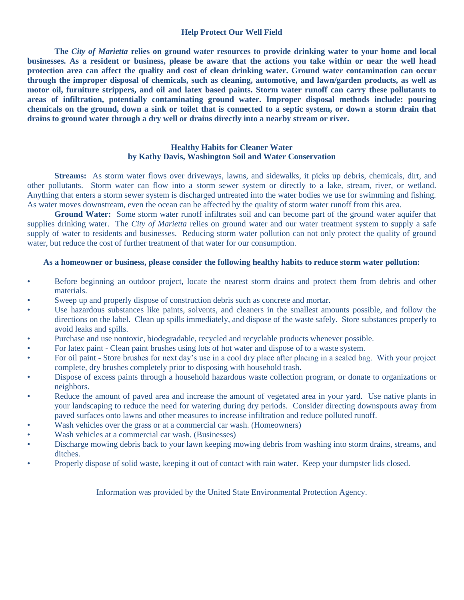#### **Help Protect Our Well Field**

**The** *City of Marietta* **relies on ground water resources to provide drinking water to your home and local businesses. As a resident or business, please be aware that the actions you take within or near the well head protection area can affect the quality and cost of clean drinking water. Ground water contamination can occur through the improper disposal of chemicals, such as cleaning, automotive, and lawn/garden products, as well as motor oil, furniture strippers, and oil and latex based paints. Storm water runoff can carry these pollutants to areas of infiltration, potentially contaminating ground water. Improper disposal methods include: pouring chemicals on the ground, down a sink or toilet that is connected to a septic system, or down a storm drain that drains to ground water through a dry well or drains directly into a nearby stream or river.** 

### **Healthy Habits for Cleaner Water by Kathy Davis, Washington Soil and Water Conservation**

**Streams:** As storm water flows over driveways, lawns, and sidewalks, it picks up debris, chemicals, dirt, and other pollutants. Storm water can flow into a storm sewer system or directly to a lake, stream, river, or wetland. Anything that enters a storm sewer system is discharged untreated into the water bodies we use for swimming and fishing. As water moves downstream, even the ocean can be affected by the quality of storm water runoff from this area.

**Ground Water:** Some storm water runoff infiltrates soil and can become part of the ground water aquifer that supplies drinking water. The *City of Marietta* relies on ground water and our water treatment system to supply a safe supply of water to residents and businesses. Reducing storm water pollution can not only protect the quality of ground water, but reduce the cost of further treatment of that water for our consumption.

#### **As a homeowner or business, please consider the following healthy habits to reduce storm water pollution:**

- Before beginning an outdoor project, locate the nearest storm drains and protect them from debris and other materials.
- Sweep up and properly dispose of construction debris such as concrete and mortar.
- Use hazardous substances like paints, solvents, and cleaners in the smallest amounts possible, and follow the directions on the label. Clean up spills immediately, and dispose of the waste safely. Store substances properly to avoid leaks and spills.
- Purchase and use nontoxic, biodegradable, recycled and recyclable products whenever possible.
- For latex paint Clean paint brushes using lots of hot water and dispose of to a waste system.
- For oil paint Store brushes for next day's use in a cool dry place after placing in a sealed bag. With your project complete, dry brushes completely prior to disposing with household trash.
- Dispose of excess paints through a household hazardous waste collection program, or donate to organizations or neighbors.
- Reduce the amount of paved area and increase the amount of vegetated area in your yard. Use native plants in your landscaping to reduce the need for watering during dry periods. Consider directing downspouts away from paved surfaces onto lawns and other measures to increase infiltration and reduce polluted runoff.
- Wash vehicles over the grass or at a commercial car wash. (Homeowners)
- Wash vehicles at a commercial car wash. (Businesses)
- Discharge mowing debris back to your lawn keeping mowing debris from washing into storm drains, streams, and ditches.
- Properly dispose of solid waste, keeping it out of contact with rain water. Keep your dumpster lids closed.

Information was provided by the United State Environmental Protection Agency.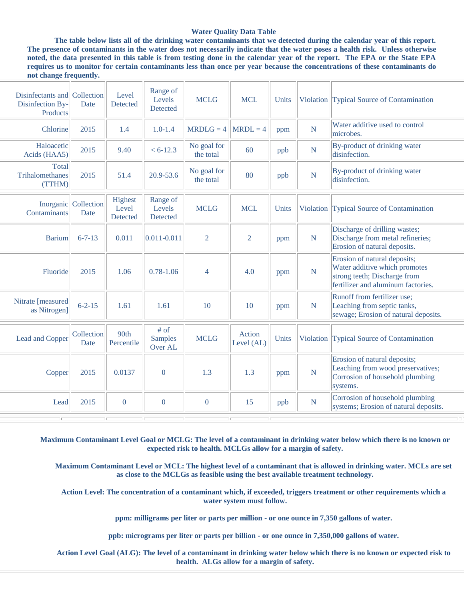#### **Water Quality Data Table**

**The table below lists all of the drinking water contaminants that we detected during the calendar year of this report. The presence of contaminants in the water does not necessarily indicate that the water poses a health risk. Unless otherwise noted, the data presented in this table is from testing done in the calendar year of the report. The EPA or the State EPA requires us to monitor for certain contaminants less than once per year because the concentrations of these contaminants do not change frequently.**

| Disinfectants and Collection<br>Disinfection By-<br>Products | Date                         | Level<br>Detected            | Range of<br>Levels<br>Detected    | <b>MCLG</b>              | <b>MCL</b>           | Units |                | Violation Typical Source of Contamination                                                                                           |
|--------------------------------------------------------------|------------------------------|------------------------------|-----------------------------------|--------------------------|----------------------|-------|----------------|-------------------------------------------------------------------------------------------------------------------------------------|
| Chlorine                                                     | 2015                         | 1.4                          | $1.0 - 1.4$                       | $MRDLG = 4$              | $MRDL = 4$           | ppm   | $\mathbf N$    | Water additive used to control<br>microbes.                                                                                         |
| Haloacetic<br>Acids (HAA5)                                   | 2015                         | 9.40                         | $< 6 - 12.3$                      | No goal for<br>the total | 60                   | ppb   | $\mathbf N$    | By-product of drinking water<br>disinfection.                                                                                       |
| <b>Total</b><br>Trihalomethanes<br>(TTHM)                    | 2015                         | 51.4                         | 20.9-53.6                         | No goal for<br>the total | 80                   | ppb   | N              | By-product of drinking water<br>disinfection.                                                                                       |
| Contaminants                                                 | Inorganic Collection<br>Date | Highest<br>Level<br>Detected | Range of<br>Levels<br>Detected    | <b>MCLG</b>              | <b>MCL</b>           | Units | Violation      | Typical Source of Contamination                                                                                                     |
| <b>Barium</b>                                                | $6 - 7 - 13$                 | 0.011                        | $0.011 - 0.011$                   | $\overline{2}$           | $\overline{2}$       | ppm   | $\mathbf N$    | Discharge of drilling wastes;<br>Discharge from metal refineries;<br>Erosion of natural deposits.                                   |
| Fluoride                                                     | 2015                         | 1.06                         | $0.78 - 1.06$                     | $\overline{4}$           | 4.0                  | ppm   | $\overline{N}$ | Erosion of natural deposits;<br>Water additive which promotes<br>strong teeth; Discharge from<br>fertilizer and aluminum factories. |
| Nitrate [measured<br>as Nitrogen]                            | $6 - 2 - 15$                 | 1.61                         | 1.61                              | 10                       | 10                   | ppm   | $\overline{N}$ | Runoff from fertilizer use;<br>Leaching from septic tanks,<br>sewage; Erosion of natural deposits.                                  |
| Lead and Copper                                              | Collection<br>Date           | 90th<br>Percentile           | # of<br><b>Samples</b><br>Over AL | <b>MCLG</b>              | Action<br>Level (AL) | Units | Violation      | Typical Source of Contamination                                                                                                     |
| Copper                                                       | 2015                         | 0.0137                       | $\overline{0}$                    | 1.3                      | 1.3                  | ppm   | $\overline{N}$ | Erosion of natural deposits;<br>Leaching from wood preservatives;<br>Corrosion of household plumbing<br>systems.                    |
| Lead                                                         | 2015                         | $\mathbf{0}$                 | $\mathbf{0}$                      | $\mathbf{0}$             | 15                   | ppb   | $\mathbf N$    | Corrosion of household plumbing<br>systems; Erosion of natural deposits.                                                            |
|                                                              |                              |                              |                                   |                          |                      |       |                |                                                                                                                                     |

**Maximum Contaminant Level Goal or MCLG: The level of a contaminant in drinking water below which there is no known or expected risk to health. MCLGs allow for a margin of safety.**

 **Maximum Contaminant Level or MCL: The highest level of a contaminant that is allowed in drinking water. MCLs are set as close to the MCLGs as feasible using the best available treatment technology.**

 **Action Level: The concentration of a contaminant which, if exceeded, triggers treatment or other requirements which a water system must follow.**

 **ppm: milligrams per liter or parts per million - or one ounce in 7,350 gallons of water.**

 **ppb: micrograms per liter or parts per billion - or one ounce in 7,350,000 gallons of water.**

 **Action Level Goal (ALG): The level of a contaminant in drinking water below which there is no known or expected risk to health. ALGs allow for a margin of safety.**